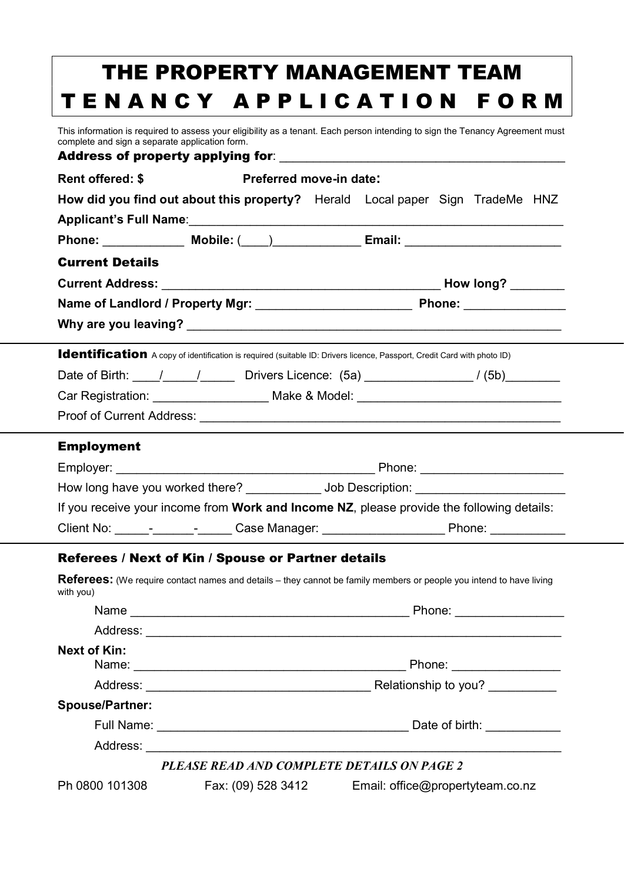|                                                                                                                         | THE PROPERTY MANAGEMENT TEAM                                                                                                  |
|-------------------------------------------------------------------------------------------------------------------------|-------------------------------------------------------------------------------------------------------------------------------|
|                                                                                                                         | TENANCY APPLICATION FORM                                                                                                      |
| complete and sign a separate application form.                                                                          | This information is required to assess your eligibility as a tenant. Each person intending to sign the Tenancy Agreement must |
| <b>Rent offered: \$</b>                                                                                                 | Preferred move-in date:                                                                                                       |
|                                                                                                                         | How did you find out about this property? Herald Local paper Sign TradeMe HNZ                                                 |
|                                                                                                                         |                                                                                                                               |
|                                                                                                                         | Phone: _______________ Mobile: (____)_______________ Email: _____________________                                             |
| <b>Current Details</b>                                                                                                  |                                                                                                                               |
|                                                                                                                         |                                                                                                                               |
|                                                                                                                         |                                                                                                                               |
|                                                                                                                         |                                                                                                                               |
| Identification A copy of identification is required (suitable ID: Drivers licence, Passport, Credit Card with photo ID) |                                                                                                                               |
|                                                                                                                         | Date of Birth: 11 12 12 12 12 12 12 13 13 14 14 15 16 17 17 18 17 19 17 17 18 17 18 17 18 17 18 17 18 17 18 17                |
|                                                                                                                         | Car Registration: _____________________ Make & Model: __________________________                                              |
|                                                                                                                         |                                                                                                                               |
| <b>Employment</b>                                                                                                       |                                                                                                                               |
|                                                                                                                         |                                                                                                                               |
|                                                                                                                         | How long have you worked there? ____________ Job Description: __________________                                              |
|                                                                                                                         | If you receive your income from Work and Income NZ, please provide the following details:                                     |
|                                                                                                                         |                                                                                                                               |
| Referees / Next of Kin / Spouse or Partner details                                                                      |                                                                                                                               |
| with you)                                                                                                               | <b>Referees:</b> (We require contact names and details – they cannot be family members or people you intend to have living    |
|                                                                                                                         |                                                                                                                               |
|                                                                                                                         |                                                                                                                               |
| <b>Next of Kin:</b>                                                                                                     | Phone: __________________                                                                                                     |
|                                                                                                                         |                                                                                                                               |
| <b>Spouse/Partner:</b>                                                                                                  |                                                                                                                               |
|                                                                                                                         |                                                                                                                               |
|                                                                                                                         |                                                                                                                               |
|                                                                                                                         | PLEASE READ AND COMPLETE DETAILS ON PAGE 2                                                                                    |
| Fax: (09) 528 3412<br>Ph 0800 101308                                                                                    | Email: office@propertyteam.co.nz                                                                                              |